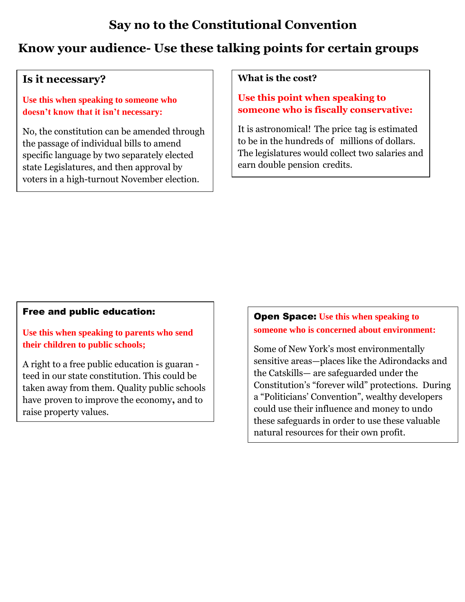# **Say no to the Constitutional Convention**

# **Know your audience- Use these talking points for certain groups**

## **Is it necessary?**

**Use this when speaking to someone who doesn't know that it isn't necessary:** 

No, the constitution can be amended through the passage of individual bills to amend specific language by two separately elected state Legislatures, and then approval by voters in a high-turnout November election.

#### **What is the cost?**

### **Use this point when speaking to someone who is fiscally conservative:**

It is astronomical! The price tag is estimated to be in the hundreds of millions of dollars. The legislatures would collect two salaries and earn double pension credits.

#### Free and public education:

**Use this when speaking to parents who send their children to public schools;** 

A right to a free public education is guaran teed in our state constitution. This could be taken away from them. Quality public schools have proven to improve the economy**,** and to raise property values.

### Open Space: **Use this when speaking to someone who is concerned about environment:**

Some of New York's most environmentally sensitive areas—places like the Adirondacks and the Catskills— are safeguarded under the Constitution's "forever wild" protections. During a "Politicians' Convention", wealthy developers could use their influence and money to undo these safeguards in order to use these valuable natural resources for their own profit.